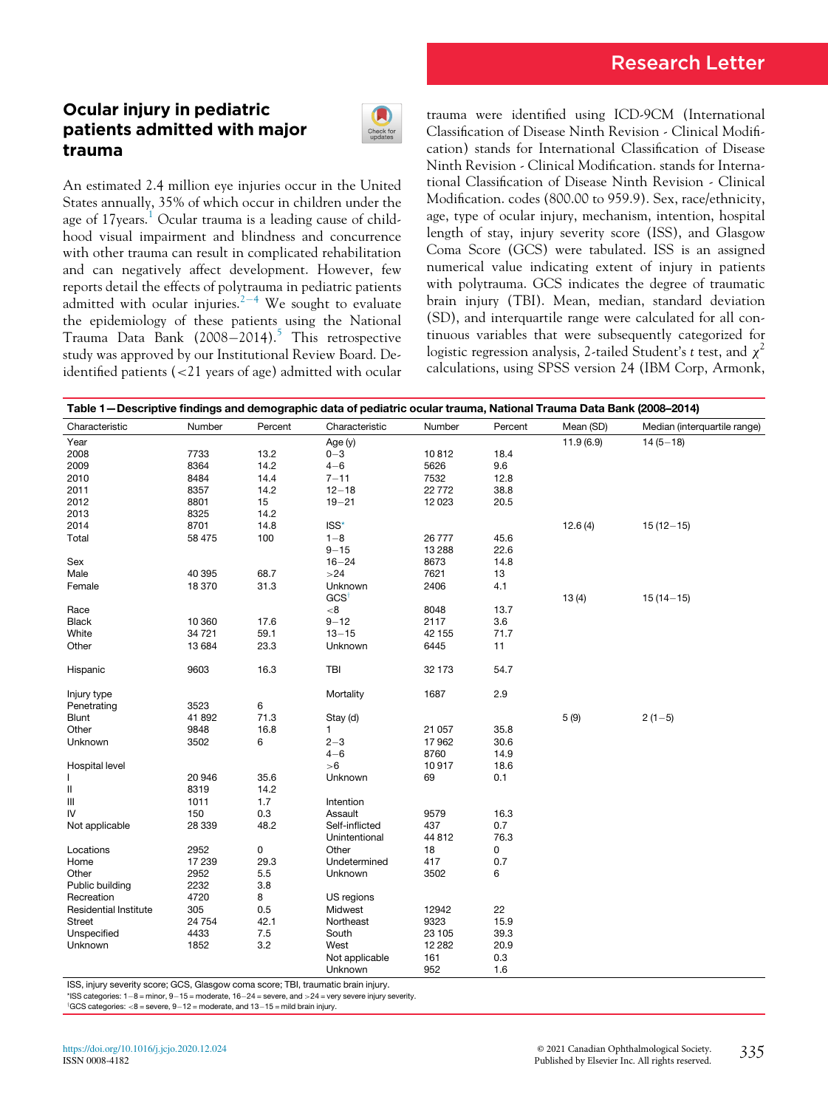# Research Letter

## Ocular injury in pediatric patients admitted with major trauma



An estimated 2.4 million eye injuries occur in the United States annually, 35% of which occur in children under the age of [1](#page-2-0)7 years.<sup>1</sup> Ocular trauma is a leading cause of childhood visual impairment and blindness and concurrence with other trauma can result in complicated rehabilitation and can negatively affect development. However, few reports detail the effects of polytrauma in pediatric patients admitted with ocular injuries. $2^{-4}$  $2^{-4}$  $2^{-4}$  $2^{-4}$  We sought to evaluate the epidemiology of these patients using the National Trauma Data Bank  $(2008-2014).$ <sup>[5](#page-2-2)</sup> This retrospective study was approved by our Institutional Review Board. Deidentified patients (<21 years of age) admitted with ocular trauma were identified using ICD-9CM (International Classification of Disease Ninth Revision - Clinical Modification) stands for International Classification of Disease Ninth Revision - Clinical Modification. stands for International Classification of Disease Ninth Revision - Clinical Modification. codes (800.00 to 959.9). Sex, race/ethnicity, age, type of ocular injury, mechanism, intention, hospital length of stay, injury severity score (ISS), and Glasgow Coma Score (GCS) were tabulated. ISS is an assigned numerical value indicating extent of injury in patients with polytrauma. GCS indicates the degree of traumatic brain injury (TBI). Mean, median, standard deviation (SD), and interquartile range were calculated for all continuous variables that were subsequently categorized for logistic regression analysis, 2-tailed Student's t test, and  $\chi^2$ calculations, using SPSS version 24 (IBM Corp, Armonk,

<span id="page-0-1"></span>

| Table 1-Descriptive findings and demographic data of pediatric ocular trauma, National Trauma Data Bank (2008-2014) |         |         |                  |          |         |           |                              |  |  |
|---------------------------------------------------------------------------------------------------------------------|---------|---------|------------------|----------|---------|-----------|------------------------------|--|--|
| Characteristic                                                                                                      | Number  | Percent | Characteristic   | Number   | Percent | Mean (SD) | Median (interquartile range) |  |  |
| Year                                                                                                                |         |         | Age (y)          |          |         | 11.9(6.9) | $14(5 - 18)$                 |  |  |
| 2008                                                                                                                | 7733    | 13.2    | $0 - 3$          | 10812    | 18.4    |           |                              |  |  |
| 2009                                                                                                                | 8364    | 14.2    | $4 - 6$          | 5626     | 9.6     |           |                              |  |  |
| 2010                                                                                                                | 8484    | 14.4    | $7 - 11$         | 7532     | 12.8    |           |                              |  |  |
| 2011                                                                                                                | 8357    | 14.2    | $12 - 18$        | 22772    | 38.8    |           |                              |  |  |
| 2012                                                                                                                | 8801    | 15      | $19 - 21$        | 12 0 23  | 20.5    |           |                              |  |  |
| 2013                                                                                                                | 8325    | 14.2    |                  |          |         |           |                              |  |  |
| 2014                                                                                                                | 8701    | 14.8    | ISS*             |          |         | 12.6(4)   | $15(12-15)$                  |  |  |
| Total                                                                                                               | 58 475  | 100     | $1 - 8$          | 26777    | 45.6    |           |                              |  |  |
|                                                                                                                     |         |         | $9 - 15$         | 13 2 88  | 22.6    |           |                              |  |  |
| Sex                                                                                                                 |         |         | $16 - 24$        | 8673     | 14.8    |           |                              |  |  |
| Male                                                                                                                | 40 395  | 68.7    | >24              | 7621     | 13      |           |                              |  |  |
| Female                                                                                                              | 18370   | 31.3    | Unknown          | 2406     | 4.1     |           |                              |  |  |
|                                                                                                                     |         |         | GCS <sup>†</sup> |          |         | 13(4)     | $15(14 - 15)$                |  |  |
| Race                                                                                                                |         |         | <8               | 8048     | 13.7    |           |                              |  |  |
| <b>Black</b>                                                                                                        | 10 360  | 17.6    | $9 - 12$         | 2117     | 3.6     |           |                              |  |  |
| White                                                                                                               | 34 721  | 59.1    | $13 - 15$        | 42 155   | 71.7    |           |                              |  |  |
| Other                                                                                                               | 13684   | 23.3    | Unknown          | 6445     | 11      |           |                              |  |  |
|                                                                                                                     |         |         |                  |          |         |           |                              |  |  |
| Hispanic                                                                                                            | 9603    | 16.3    | TBI              | 32 173   | 54.7    |           |                              |  |  |
| Injury type                                                                                                         |         |         | Mortality        | 1687     | 2.9     |           |                              |  |  |
| Penetrating                                                                                                         | 3523    | 6       |                  |          |         |           |                              |  |  |
| Blunt                                                                                                               | 41892   | 71.3    | Stay (d)         |          |         | 5(9)      | $2(1-5)$                     |  |  |
| Other                                                                                                               | 9848    | 16.8    | 1                | 21 057   | 35.8    |           |                              |  |  |
| Unknown                                                                                                             | 3502    | 6       | $2 - 3$          | 17962    | 30.6    |           |                              |  |  |
|                                                                                                                     |         |         | $4 - 6$          | 8760     | 14.9    |           |                              |  |  |
| Hospital level                                                                                                      |         |         | >6               | 10917    | 18.6    |           |                              |  |  |
| $\mathbf{I}$                                                                                                        | 20 946  | 35.6    | Unknown          | 69       | 0.1     |           |                              |  |  |
| $\sf II$                                                                                                            | 8319    | 14.2    |                  |          |         |           |                              |  |  |
| Ш                                                                                                                   | 1011    | 1.7     | Intention        |          |         |           |                              |  |  |
| IV                                                                                                                  | 150     | 0.3     | Assault          | 9579     | 16.3    |           |                              |  |  |
| Not applicable                                                                                                      | 28 339  | 48.2    | Self-inflicted   | 437      | 0.7     |           |                              |  |  |
|                                                                                                                     |         |         | Unintentional    | 44 812   | 76.3    |           |                              |  |  |
| Locations                                                                                                           | 2952    | 0       | Other            | 18       | 0       |           |                              |  |  |
| Home                                                                                                                | 17 239  | 29.3    | Undetermined     | 417      | 0.7     |           |                              |  |  |
| Other                                                                                                               | 2952    | 5.5     | Unknown          | 3502     | 6       |           |                              |  |  |
| Public building                                                                                                     | 2232    | 3.8     |                  |          |         |           |                              |  |  |
| Recreation                                                                                                          | 4720    | 8       | US regions       |          |         |           |                              |  |  |
| <b>Residential Institute</b>                                                                                        | 305     | 0.5     | Midwest          | 12942    | 22      |           |                              |  |  |
| <b>Street</b>                                                                                                       | 24 7 54 | 42.1    | Northeast        | 9323     | 15.9    |           |                              |  |  |
| Unspecified                                                                                                         | 4433    | 7.5     | South            | 23 105   | 39.3    |           |                              |  |  |
| Unknown                                                                                                             | 1852    | 3.2     | West             | 12 2 8 2 | 20.9    |           |                              |  |  |
|                                                                                                                     |         |         | Not applicable   | 161      | 0.3     |           |                              |  |  |
|                                                                                                                     |         |         | Unknown          | 952      | 1.6     |           |                              |  |  |
|                                                                                                                     |         |         |                  |          |         |           |                              |  |  |

<span id="page-0-0"></span>ISS, injury severity score; GCS, Glasgow coma score; TBI, traumatic brain injury.

 $*$ ISS categories:  $1-8$  = minor,  $9-15$  = moderate,  $16-24$  = severe, and  $>24$  = very severe injury severity.

 $\left[ GCS\;\text{categories:}\; <\! 8=\text{severe},\, 9\!-\!12=\text{moderate},\, \text{and}\; 13\!-\!15=\text{mild brain injury}.$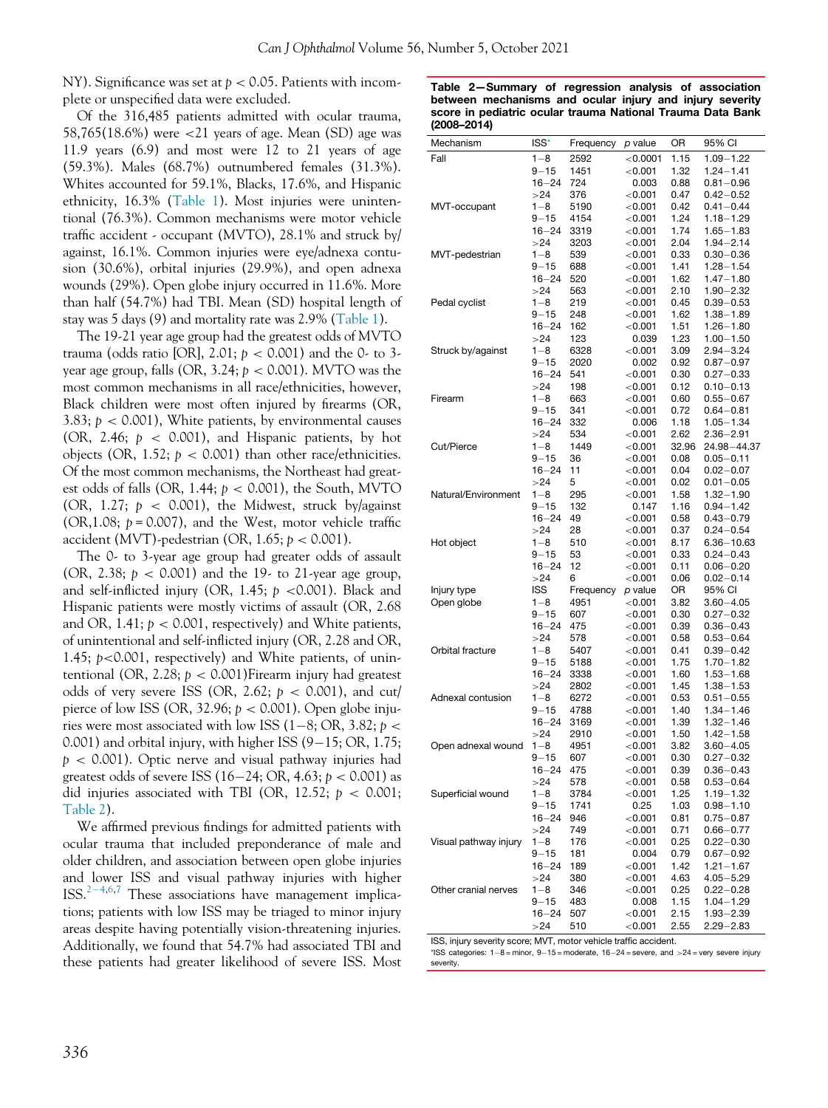<span id="page-1-0"></span>NY). Significance was set at  $p < 0.05$ . Patients with incomplete or unspecified data were excluded.

Of the 316,485 patients admitted with ocular trauma, 58,765(18.6%) were <21 years of age. Mean (SD) age was 11.9 years (6.9) and most were 12 to 21 years of age (59.3%). Males (68.7%) outnumbered females (31.3%). Whites accounted for 59.1%, Blacks, 17.6%, and Hispanic ethnicity, 16.3% ([Table 1\)](#page-0-1). Most injuries were unintentional (76.3%). Common mechanisms were motor vehicle traffic accident - occupant (MVTO), 28.1% and struck by/ against, 16.1%. Common injuries were eye/adnexa contusion (30.6%), orbital injuries (29.9%), and open adnexa wounds (29%). Open globe injury occurred in 11.6%. More than half (54.7%) had TBI. Mean (SD) hospital length of stay was 5 days (9) and mortality rate was 2.9% [\(Table 1\)](#page-0-1).

The 19-21 year age group had the greatest odds of MVTO trauma (odds ratio [OR], 2.01;  $p < 0.001$ ) and the 0- to 3year age group, falls (OR,  $3.24$ ;  $p < 0.001$ ). MVTO was the most common mechanisms in all race/ethnicities, however, Black children were most often injured by firearms (OR, 3.83;  $p < 0.001$ ), White patients, by environmental causes (OR, 2.46;  $p < 0.001$ ), and Hispanic patients, by hot objects (OR, 1.52;  $p < 0.001$ ) than other race/ethnicities. Of the most common mechanisms, the Northeast had greatest odds of falls (OR, 1.44;  $p < 0.001$ ), the South, MVTO (OR, 1.27;  $p \le 0.001$ ), the Midwest, struck by/against  $(OR, 1.08; p = 0.007)$ , and the West, motor vehicle traffic accident (MVT)-pedestrian (OR,  $1.65$ ;  $p < 0.001$ ).

The 0- to 3-year age group had greater odds of assault (OR, 2.38;  $p < 0.001$ ) and the 19- to 21-year age group, and self-inflicted injury (OR, 1.45;  $p \lt 0.001$ ). Black and Hispanic patients were mostly victims of assault (OR, 2.68 and OR, 1.41;  $p < 0.001$ , respectively) and White patients, of unintentional and self-inflicted injury (OR, 2.28 and OR, 1.45; p<0.001, respectively) and White patients, of unintentional (OR, 2.28;  $p < 0.001$ ) Firearm injury had greatest odds of very severe ISS (OR, 2.62;  $p < 0.001$ ), and cut/ pierce of low ISS (OR, 32.96;  $p < 0.001$ ). Open globe injuries were most associated with low ISS (1-8; OR, 3.82;  $p <$ 0.001) and orbital injury, with higher ISS  $(9-15; OR, 1.75;$  $p < 0.001$ ). Optic nerve and visual pathway injuries had greatest odds of severe ISS (16-24; OR, 4.63;  $p < 0.001$ ) as did injuries associated with TBI (OR, 12.52;  $p < 0.001$ ; [Table 2\)](#page-1-0).

<span id="page-1-1"></span>We affirmed previous findings for admitted patients with ocular trauma that included preponderance of male and older children, and association between open globe injuries and lower ISS and visual pathway injuries with higher  $ISS.<sup>2-4,6,7</sup>$  $ISS.<sup>2-4,6,7</sup>$  $ISS.<sup>2-4,6,7</sup>$  $ISS.<sup>2-4,6,7</sup>$  $ISS.<sup>2-4,6,7</sup>$  $ISS.<sup>2-4,6,7</sup>$  $ISS.<sup>2-4,6,7</sup>$  These associations have management implications; patients with low ISS may be triaged to minor injury areas despite having potentially vision-threatening injuries. Additionally, we found that 54.7% had associated TBI and these patients had greater likelihood of severe ISS. Most

Table 2—Summary of regression analysis of association between mechanisms and ocular injury and injury severity score in pediatric ocular trauma National Trauma Data Bank (2008–2014)

| Mechanism             | ISS*       | Frequency | p value        | OR    | 95% CI                         |
|-----------------------|------------|-----------|----------------|-------|--------------------------------|
| Fall                  | $1 - 8$    | 2592      | < 0.0001       | 1.15  | $1.09 - 1.22$                  |
|                       | $9 - 15$   | 1451      | < 0.001        | 1.32  | $1.24 - 1.41$                  |
|                       | $16 - 24$  | 724       | 0.003          | 0.88  | $0.81 - 0.96$                  |
|                       | >24        | 376       | $<$ 0.001      | 0.47  | $0.42 - 0.52$                  |
| MVT-occupant          | $1 - 8$    | 5190      | $<$ 0.001 $\,$ | 0.42  | $0.41 - 0.44$                  |
|                       | $9 - 15$   | 4154      | < 0.001        | 1.24  | $1.18 - 1.29$                  |
|                       | 16–24      | 3319      | < 0.001        | 1.74  | $1.65 - 1.83$                  |
|                       | >24        | 3203      | $<$ 0.001 $\,$ | 2.04  | $1.94 - 2.14$                  |
| MVT-pedestrian        | $1 - 8$    | 539       | < 0.001        | 0.33  | $0.30 - 0.36$                  |
|                       | 9–15       | 688       | < 0.001        | 1.41  | $1.28 - 1.54$                  |
|                       | 16–24      | 520       | < 0.001        | 1.62  | $1.47 - 1.80$                  |
|                       | >24        | 563       | < 0.001        | 2.10  | $1.90 - 2.32$                  |
| Pedal cyclist         | $1 - 8$    | 219       | < 0.001        | 0.45  | $0.39 - 0.53$                  |
|                       | 9–15       | 248       | $<$ 0.001 $\,$ | 1.62  | $1.38 - 1.89$                  |
|                       | $16 - 24$  | 162       | < 0.001        | 1.51  | $1.26 - 1.80$                  |
|                       | >24        | 123       | 0.039          | 1.23  | $1.00 - 1.50$                  |
| Struck by/against     | $1 - 8$    | 6328      | ${<}0.001$     | 3.09  | $2.94 - 3.24$                  |
|                       | 9–15       | 2020      | 0.002          | 0.92  | $0.87 - 0.97$                  |
|                       | 16–24      | 541       | $<$ 0.001 $\,$ | 0.30  | $0.27 - 0.33$                  |
|                       | >24        | 198       | < 0.001        | 0.12  | $0.10 - 0.13$                  |
| Firearm               | 1–8        | 663       | $<$ 0.001 $\,$ | 0.60  | $0.55 - 0.67$                  |
|                       | $9 - 15$   | 341       | $<$ 0.001 $<$  | 0.72  | $0.64 - 0.81$                  |
|                       | $16 - 24$  | 332       | 0.006          | 1.18  | $1.05 - 1.34$                  |
|                       | >24        | 534       | < 0.001        | 2.62  | $2.36 - 2.91$                  |
| Cut/Pierce            | $1 - 8$    | 1449      | $<$ 0.001 $\,$ | 32.96 | 24.98-44.37                    |
|                       | $9 - 15$   | 36        | $<$ 0.001 $\,$ | 0.08  | $0.05 - 0.11$                  |
|                       | 16–24      | 11        | < 0.001        | 0.04  | $0.02 - 0.07$                  |
|                       | >24        | 5         | $<$ 0.001 $\,$ | 0.02  | $0.01 - 0.05$                  |
| Natural/Environment   | $1 - 8$    | 295       | < 0.001        | 1.58  | $1.32 - 1.90$                  |
|                       | 9–15       | 132       | 0.147          | 1.16  | $0.94 - 1.42$                  |
|                       |            |           |                | 0.58  |                                |
|                       | $16 - 24$  | 49        | $<$ 0.001 $\,$ | 0.37  | $0.43 - 0.79$<br>$0.24 - 0.54$ |
|                       | >24        | 28        | ${<}0.001$     |       |                                |
| Hot object            | $1 - 8$    | 510       | < 0.001        | 8.17  | 6.36-10.63                     |
|                       | $9 - 15$   | 53        | < 0.001        | 0.33  | $0.24 - 0.43$                  |
|                       | $16 - 24$  | 12        | < 0.001        | 0.11  | $0.06 - 0.20$                  |
|                       | >24        | 6         | < 0.001        | 0.06  | $0.02 - 0.14$                  |
| Injury type           | <b>ISS</b> | Frequency | p value        | OR    | 95% CI                         |
| Open globe            | $1 - 8$    | 4951      | $<$ 0.001 $\,$ | 3.82  | $3.60 - 4.05$                  |
|                       | $9 - 15$   | 607       | $<$ 0.001 $\,$ | 0.30  | $0.27 - 0.32$                  |
|                       | $16 - 24$  | 475       | < 0.001        | 0.39  | $0.36 - 0.43$                  |
|                       | >24        | 578       | < 0.001        | 0.58  | $0.53 - 0.64$                  |
| Orbital fracture      | $1 - 8$    | 5407      | $<$ 0.001 $\,$ | 0.41  | $0.39 - 0.42$                  |
|                       | 9–15       | 5188      | $<$ 0.001 $\,$ | 1.75  | $1.70 - 1.82$                  |
|                       | 16–24      | 3338      | < 0.001        | 1.60  | $1.53 - 1.68$                  |
|                       | >24        | 2802      | $<$ 0.001 $\,$ | 1.45  | $1.38 - 1.53$                  |
| Adnexal contusion     | 1–8        | 6272      | < 0.001        | 0.53  | $0.51 - 0.55$                  |
|                       | $9 - 15$   | 4788      | < 0.001        | 1.40  | $1.34 - 1.46$                  |
|                       | $16 - 24$  | 3169      | ${<}0.001$     | 1.39  | $1.32 - 1.46$                  |
|                       | >24        | 2910      | $<$ 0.001 $\,$ | 1.50  | $1.42 - 1.58$                  |
| Open adnexal wound    | $1 - 8$    | 4951      | < 0.001        | 3.82  | $3.60 - 4.05$                  |
|                       | $9 - 15$   | 607       | < 0.001        | 0.30  | $0.27 - 0.32$                  |
|                       | 16–24      | 475       | < 0.001        | 0.39  | $0.36 - 0.43$                  |
|                       | >24        | 578       | $<$ 0.001 $\,$ | 0.58  | $0.53 - 0.64$                  |
| Superficial wound     | $1 - 8$    | 3784      | < 0.001        | 1.25  | $1.19 - 1.32$                  |
|                       | $9 - 15$   | 1741      | 0.25           | 1.03  | $0.98 - 1.10$                  |
|                       | 16–24      | 946       | < 0.001        | 0.81  | $0.75 - 0.87$                  |
|                       | >24        | 749       | < 0.001        | 0.71  | $0.66 - 0.77$                  |
| Visual pathway injury | $1 - 8$    | 176       | < 0.001        | 0.25  | $0.22 - 0.30$                  |
|                       | $9 - 15$   | 181       | 0.004          | 0.79  | $0.67 - 0.92$                  |
|                       | $16 - 24$  | 189       | < 0.001        | 1.42  | $1.21 - 1.67$                  |
|                       | >24        | 380       | < 0.001        | 4.63  | $4.05 - 5.29$                  |
| Other cranial nerves  | $1 - 8$    | 346       | < 0.001        | 0.25  | $0.22 - 0.28$                  |
|                       | $9 - 15$   | 483       | 0.008          | 1.15  | $1.04 - 1.29$                  |
|                       | $16 - 24$  | 507       | < 0.001        |       |                                |
|                       |            |           |                | 2.15  | $1.93 - 2.39$                  |
|                       | >24        | 510       | < 0.001        | 2.55  | $2.29 - 2.83$                  |

ISS, injury severity score; MVT, motor vehicle traffic accident.

\*ISS categories:  $1-8 =$  minor,  $9-15 =$  moderate,  $16-24 =$  severe, and  $>24 =$  very severe injury severity.